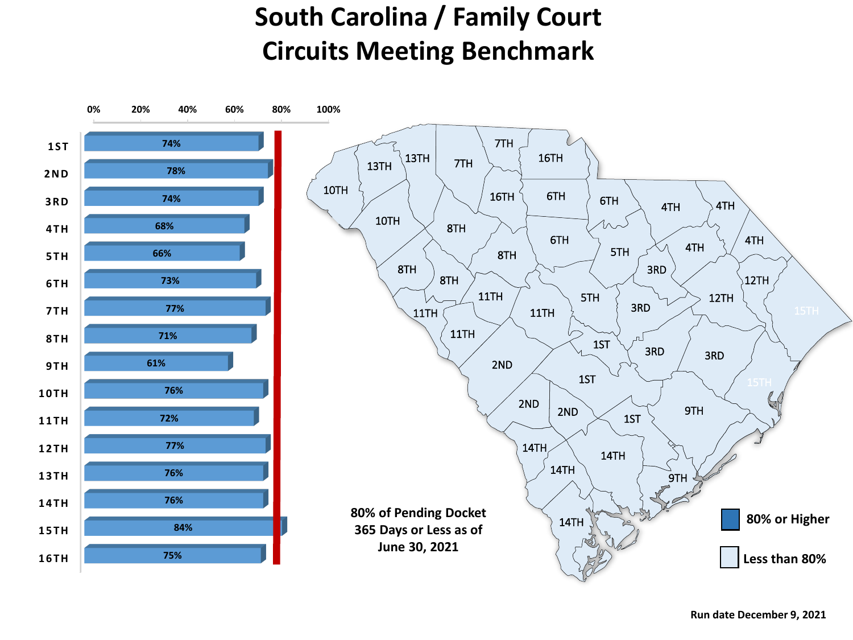## **South Carolina / Family Court Circuits Meeting Benchmark**